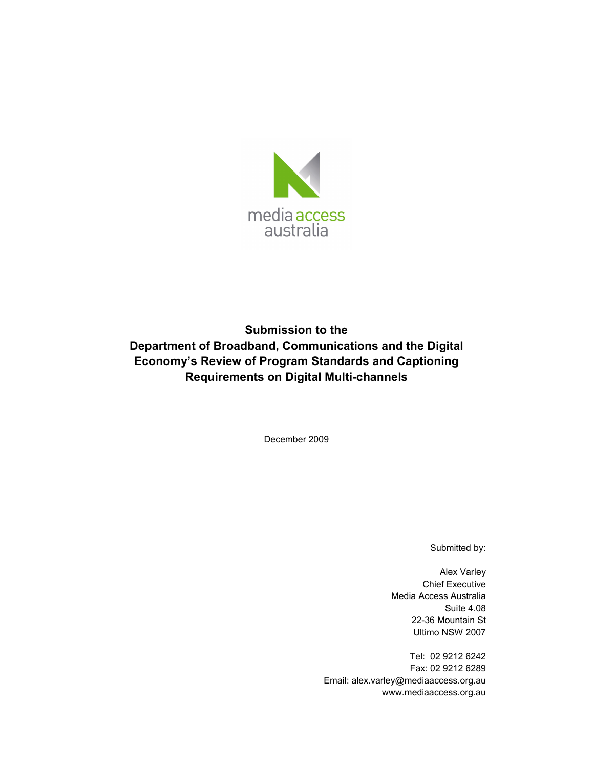

### **Submission to the Department of Broadband, Communications and the Digital Economy's Review of Program Standards and Captioning Requirements on Digital Multi-channels**

December 2009

Submitted by:

Alex Varley Chief Executive Media Access Australia Suite 4.08 22-36 Mountain St Ultimo NSW 2007

Tel: 02 9212 6242 Fax: 02 9212 6289 Email: alex.varley@mediaaccess.org.au www.mediaaccess.org.au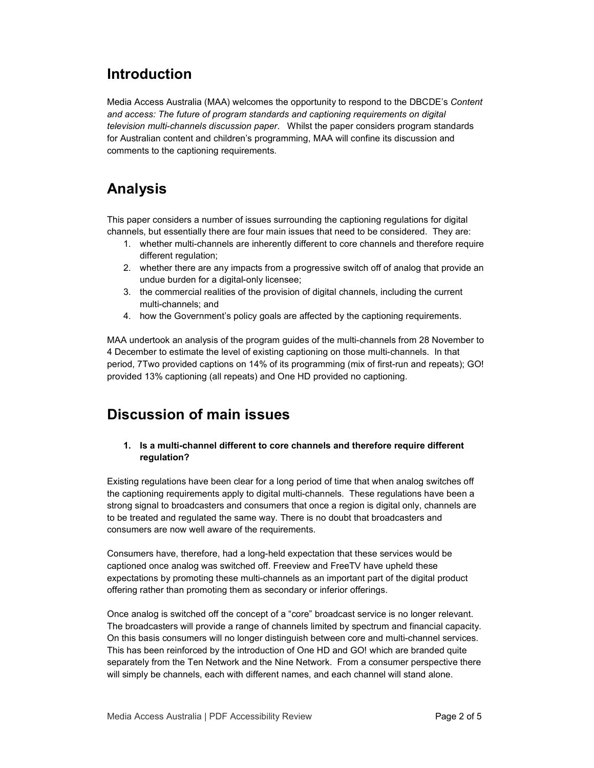### **Introduction**

Media Access Australia (MAA) welcomes the opportunity to respond to the DBCDE's *Content and access: The future of program standards and captioning requirements on digital television multi-channels discussion paper*. Whilst the paper considers program standards for Australian content and children's programming, MAA will confine its discussion and comments to the captioning requirements.

# **Analysis**

This paper considers a number of issues surrounding the captioning regulations for digital channels, but essentially there are four main issues that need to be considered. They are:

- 1. whether multi-channels are inherently different to core channels and therefore require different regulation;
- 2. whether there are any impacts from a progressive switch off of analog that provide an undue burden for a digital-only licensee;
- 3. the commercial realities of the provision of digital channels, including the current multi-channels; and
- 4. how the Government's policy goals are affected by the captioning requirements.

MAA undertook an analysis of the program guides of the multi-channels from 28 November to 4 December to estimate the level of existing captioning on those multi-channels. In that period, 7Two provided captions on 14% of its programming (mix of first-run and repeats); GO! provided 13% captioning (all repeats) and One HD provided no captioning.

# **Discussion of main issues**

### **1. Is a multi-channel different to core channels and therefore require different regulation?**

Existing regulations have been clear for a long period of time that when analog switches off the captioning requirements apply to digital multi-channels. These regulations have been a strong signal to broadcasters and consumers that once a region is digital only, channels are to be treated and regulated the same way. There is no doubt that broadcasters and consumers are now well aware of the requirements.

Consumers have, therefore, had a long-held expectation that these services would be captioned once analog was switched off. Freeview and FreeTV have upheld these expectations by promoting these multi-channels as an important part of the digital product offering rather than promoting them as secondary or inferior offerings.

Once analog is switched off the concept of a "core" broadcast service is no longer relevant. The broadcasters will provide a range of channels limited by spectrum and financial capacity. On this basis consumers will no longer distinguish between core and multi-channel services. This has been reinforced by the introduction of One HD and GO! which are branded quite separately from the Ten Network and the Nine Network. From a consumer perspective there will simply be channels, each with different names, and each channel will stand alone.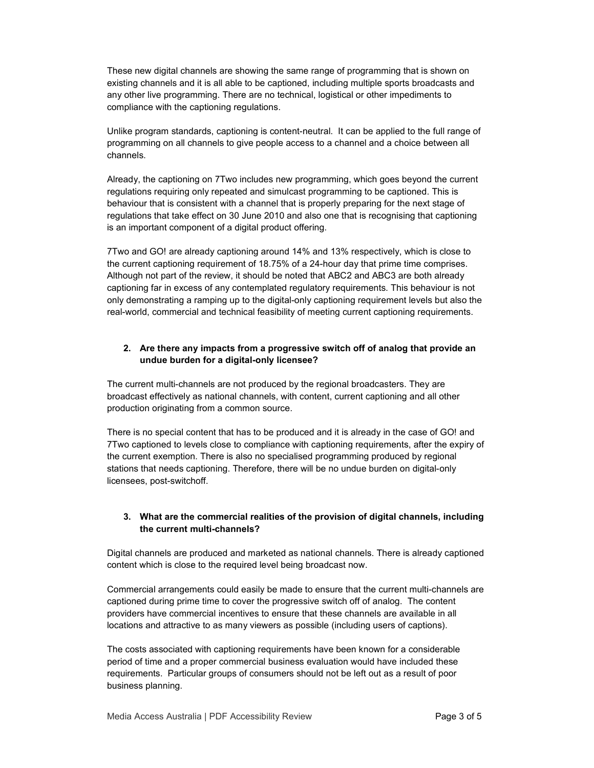These new digital channels are showing the same range of programming that is shown on existing channels and it is all able to be captioned, including multiple sports broadcasts and any other live programming. There are no technical, logistical or other impediments to compliance with the captioning regulations.

Unlike program standards, captioning is content-neutral. It can be applied to the full range of programming on all channels to give people access to a channel and a choice between all channels.

Already, the captioning on 7Two includes new programming, which goes beyond the current regulations requiring only repeated and simulcast programming to be captioned. This is behaviour that is consistent with a channel that is properly preparing for the next stage of regulations that take effect on 30 June 2010 and also one that is recognising that captioning is an important component of a digital product offering.

7Two and GO! are already captioning around 14% and 13% respectively, which is close to the current captioning requirement of 18.75% of a 24-hour day that prime time comprises. Although not part of the review, it should be noted that ABC2 and ABC3 are both already captioning far in excess of any contemplated regulatory requirements. This behaviour is not only demonstrating a ramping up to the digital-only captioning requirement levels but also the real-world, commercial and technical feasibility of meeting current captioning requirements.

### **2. Are there any impacts from a progressive switch off of analog that provide an undue burden for a digital-only licensee?**

The current multi-channels are not produced by the regional broadcasters. They are broadcast effectively as national channels, with content, current captioning and all other production originating from a common source.

There is no special content that has to be produced and it is already in the case of GO! and 7Two captioned to levels close to compliance with captioning requirements, after the expiry of the current exemption. There is also no specialised programming produced by regional stations that needs captioning. Therefore, there will be no undue burden on digital-only licensees, post-switchoff.

#### **3. What are the commercial realities of the provision of digital channels, including the current multi-channels?**

Digital channels are produced and marketed as national channels. There is already captioned content which is close to the required level being broadcast now.

Commercial arrangements could easily be made to ensure that the current multi-channels are captioned during prime time to cover the progressive switch off of analog. The content providers have commercial incentives to ensure that these channels are available in all locations and attractive to as many viewers as possible (including users of captions).

The costs associated with captioning requirements have been known for a considerable period of time and a proper commercial business evaluation would have included these requirements. Particular groups of consumers should not be left out as a result of poor business planning.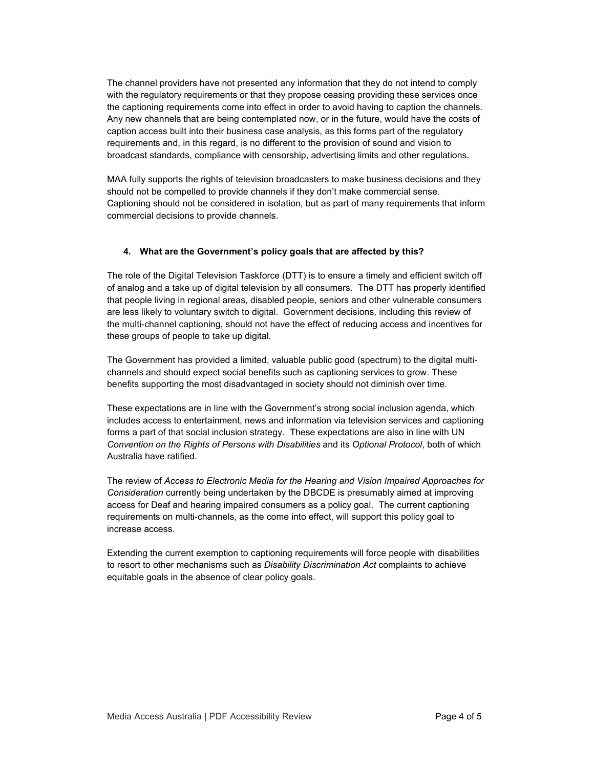The channel providers have not presented any information that they do not intend to comply with the regulatory requirements or that they propose ceasing providing these services once the captioning requirements come into effect in order to avoid having to caption the channels. Any new channels that are being contemplated now, or in the future, would have the costs of caption access built into their business case analysis, as this forms part of the regulatory requirements and, in this regard, is no different to the provision of sound and vision to broadcast standards, compliance with censorship, advertising limits and other regulations.

MAA fully supports the rights of television broadcasters to make business decisions and they should not be compelled to provide channels if they don't make commercial sense. Captioning should not be considered in isolation, but as part of many requirements that inform commercial decisions to provide channels.

#### **4. What are the Government's policy goals that are affected by this?**

The role of the Digital Television Taskforce (DTT) is to ensure a timely and efficient switch off of analog and a take up of digital television by all consumers. The DTT has properly identified that people living in regional areas, disabled people, seniors and other vulnerable consumers are less likely to voluntary switch to digital. Government decisions, including this review of the multi-channel captioning, should not have the effect of reducing access and incentives for these groups of people to take up digital.

The Government has provided a limited, valuable public good (spectrum) to the digital multichannels and should expect social benefits such as captioning services to grow. These benefits supporting the most disadvantaged in society should not diminish over time.

These expectations are in line with the Government's strong social inclusion agenda, which includes access to entertainment, news and information via television services and captioning forms a part of that social inclusion strategy. These expectations are also in line with UN *Convention on the Rights of Persons with Disabilities* and its *Optional Protocol*, both of which Australia have ratified.

The review of *Access to Electronic Media for the Hearing and Vision Impaired Approaches for Consideration* currently being undertaken by the DBCDE is presumably aimed at improving access for Deaf and hearing impaired consumers as a policy goal. The current captioning requirements on multi-channels, as the come into effect, will support this policy goal to increase access.

Extending the current exemption to captioning requirements will force people with disabilities to resort to other mechanisms such as *Disability Discrimination Act* complaints to achieve equitable goals in the absence of clear policy goals.